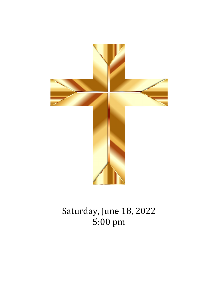

Saturday, June 18, 2022 5:00 pm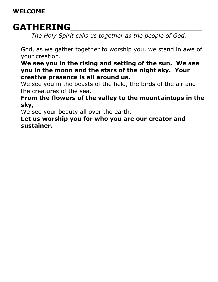### **WELCOME**

## **GATHERING\_\_\_\_\_\_\_\_\_\_\_\_\_\_\_\_\_\_\_\_\_\_\_\_\_\_**

*The Holy Spirit calls us together as the people of God.* 

God, as we gather together to worship you, we stand in awe of your creation.

**We see you in the rising and setting of the sun. We see you in the moon and the stars of the night sky. Your creative presence is all around us.**

We see you in the beasts of the field, the birds of the air and the creatures of the sea.

**From the flowers of the valley to the mountaintops in the sky,**

We see your beauty all over the earth.

**Let us worship you for who you are our creator and sustainer.**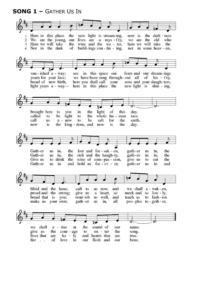**SONG 1 –** GATHER US IN

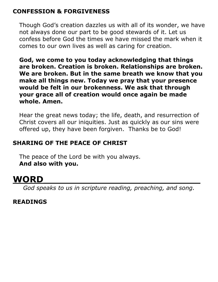### **CONFESSION & FORGIVENESS**

Though God's creation dazzles us with all of its wonder, we have not always done our part to be good stewards of it. Let us confess before God the times we have missed the mark when it comes to our own lives as well as caring for creation.

**God, we come to you today acknowledging that things are broken. Creation is broken. Relationships are broken. We are broken. But in the same breath we know that you make all things new. Today we pray that your presence would be felt in our brokenness. We ask that through your grace all of creation would once again be made whole. Amen.**

Hear the great news today; the life, death, and resurrection of Christ covers all our iniquities. Just as quickly as our sins were offered up, they have been forgiven. Thanks be to God!

## **SHARING OF THE PEACE OF CHRIST**

The peace of the Lord be with you always. **And also with you.** 

# **WORD\_\_\_\_\_\_\_\_\_\_\_\_\_\_\_\_\_\_\_\_\_\_\_\_\_\_\_\_\_\_\_**

*God speaks to us in scripture reading, preaching, and song.*

### **READINGS**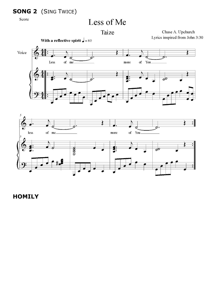## **SONG 2** (SING TWICE)

Score

# Less of Me

Taize

Chase A. Upchurch Lyrics inspired from John 3:30





### **HOMILY**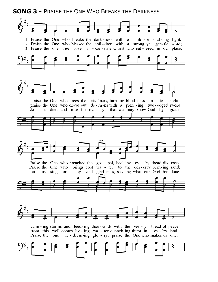**SONG 3 -** PRAISE THE ONE WHO BREAKS THE DARKNESS

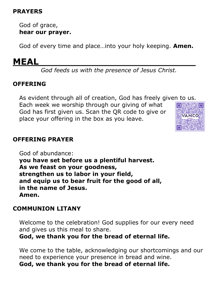### **PRAYERS**

God of grace, **hear our prayer.**

God of every time and place…into your holy keeping. **Amen.** 

## **MEAL\_\_\_\_\_\_\_\_\_\_\_\_\_\_\_\_\_\_\_\_\_\_\_\_\_\_\_\_\_\_\_**

*God feeds us with the presence of Jesus Christ.*

### **OFFERING**

As evident through all of creation, God has freely given to us.

Each week we worship through our giving of what God has first given us. Scan the QR code to give or place your offering in the box as you leave.



### **OFFERING PRAYER**

God of abundance: **you have set before us a plentiful harvest. As we feast on your goodness, strengthen us to labor in your field, and equip us to bear fruit for the good of all, in the name of Jesus. Amen.**

### **COMMUNION LITANY**

Welcome to the celebration! God supplies for our every need and gives us this meal to share.

**God, we thank you for the bread of eternal life.** 

We come to the table, acknowledging our shortcomings and our need to experience your presence in bread and wine. **God, we thank you for the bread of eternal life.**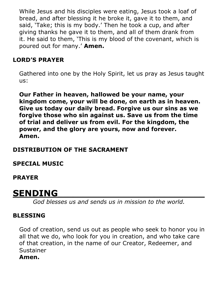While Jesus and his disciples were eating, Jesus took a loaf of bread, and after blessing it he broke it, gave it to them, and said, 'Take; this is my body.' Then he took a cup, and after giving thanks he gave it to them, and all of them drank from it. He said to them, 'This is my blood of the covenant, which is poured out for many.' **Amen.** 

## **LORD'S PRAYER**

Gathered into one by the Holy Spirit, let us pray as Jesus taught us:

**Our Father in heaven, hallowed be your name, your kingdom come, your will be done, on earth as in heaven. Give us today our daily bread. Forgive us our sins as we forgive those who sin against us. Save us from the time of trial and deliver us from evil. For the kingdom, the power, and the glory are yours, now and forever. Amen.** 

### **DISTRIBUTION OF THE SACRAMENT**

**SPECIAL MUSIC**

**PRAYER** 

## $SENDING$

*God blesses us and sends us in mission to the world.* 

### **BLESSING**

God of creation, send us out as people who seek to honor you in all that we do, who look for you in creation, and who take care of that creation, in the name of our Creator, Redeemer, and Sustainer

#### **Amen.**